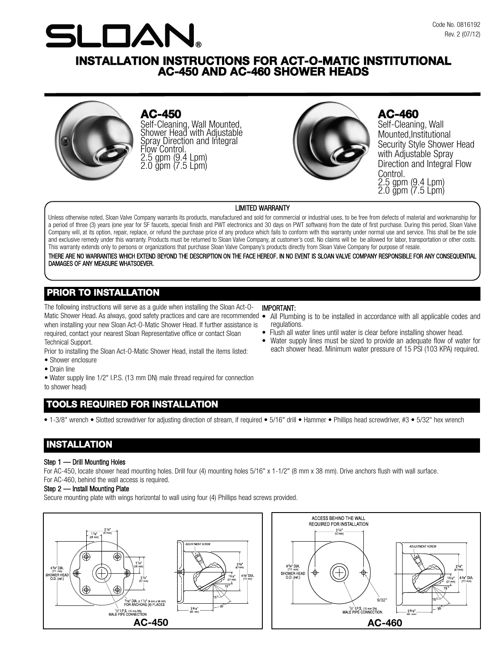

# **INSTALLATION INSTRUCTIONS FOR ACT-O-MATIC INSTITUTIONAL AC-450 AND AC-460 SHOWER HEADS**



**AC-450**

Self-Cleaning, Wall Mounted, Shower Head with Adjustable Spray Direction and Integral<br>Flow Control. 2.5 gpm (9.4 Lpm)<br>2.0 gpm (7.5 Lpm)



# **AC-460**

Self-Cleaning, Wall Mounted,Institutional Security Style Shower Head with Adjustable Spray Direction and Integral Flow Control. 2.5 gpm (9.4 Lpm) 2.0 gpm (7.5 Lpm)

#### LIMITED WARRANTY

Unless otherwise noted, Sloan Valve Company warrants its products, manufactured and sold for commercial or industrial uses, to be free from defects of material and workmanship for a period of three (3) years (one year for SF faucets, special finish and PWT electronics and 30 days on PWT software) from the date of first purchase. During this period, Sloan Valve Company will, at its option, repair, replace, or refund the purchase price of any produce which fails to conform with this warranty under normal use and service. This shall be the sole and exclusive remedy under this warranty. Products must be returned to Sloan Valve Company, at customer's cost. No claims will be be allowed for labor, transportation or other costs. This warranty extends only to persons or organizations that purchase Sloan Valve Company's products directly from Sloan Valve Company for purpose of resale.

THERE ARE NO WARRANTIES WHICH EXTEND BEYOND THE DESCRIPTION ON THE FACE HEREOF. IN NO EVENT IS SLOAN VALVE COMPANY RESPONSIBLE FOR ANY CONSEQUENTIAL DAMAGES OF ANY MEASURE WHATSOEVER.

## **PRIOR TO INSTALLATION**

The following instructions will serve as a guide when installing the Sloan Act-O-Matic Shower Head. As always, good safety practices and care are recommended when installing your new Sloan Act-O-Matic Shower Head. If further assistance is required, contact your nearest Sloan Representative office or contact Sloan Technical Support.

Prior to installing the Sloan Act-O-Matic Shower Head, install the items listed:

- Shower enclosure
- Drain line

• Water supply line 1/2" I.P.S. (13 mm DN) male thread required for connection to shower head)

# **TOOLS REQUIRED FOR INSTALLATION**

• 1-3/8" wrench • Slotted screwdriver for adjusting direction of stream, if required • 5/16" drill • Hammer • Phillips head screwdriver, #3 • 5/32" hex wrench

# **INSTALLATION**

#### Step 1 — Drill Mounting Holes

For AC-450, locate shower head mounting holes. Drill four (4) mounting holes 5/16" x 1-1/2" (8 mm x 38 mm). Drive anchors flush with wall surface. For AC-460, behind the wall access is required.

#### Step 2 — Install Mounting Plate

Secure mounting plate with wings horizontal to wall using four (4) Phillips head screws provided.





#### IMPORTANT:

- All Plumbing is to be installed in accordance with all applicable codes and regulations.
- Flush all water lines until water is clear before installing shower head.
- Water supply lines must be sized to provide an adequate flow of water for each shower head. Minimum water pressure of 15 PSI (103 KPA) required.